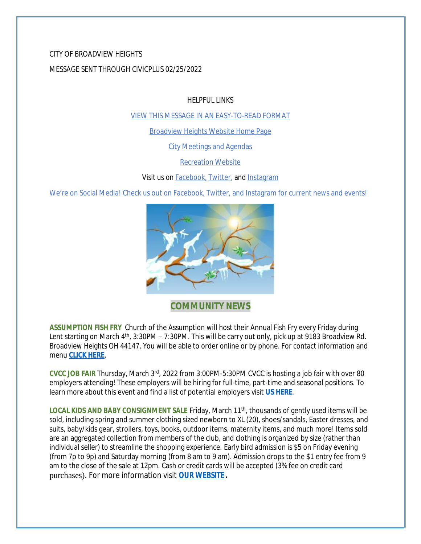# CITY OF BROADVIEW HEIGHTS

## MESSAGE SENT THROUGH CIVICPLUS 02/25/2022

HELPFUL LINKS

[VIEW THIS MESSAGE IN AN EASY-TO-READ FORMAT](https://www.broadview-heights.org/Archive.aspx?AMID=37)

[Broadview Heights Website Home Page](https://www.broadview-heights.org/)

[City Meetings and Agendas](https://www.broadview-heights.org/1126/Agendas-Meeting-Minutes)

[Recreation Website](https://broadview-heights.org/292/Parks-Recreation)

Visit us on **Facebook**, **Twitter**, and **[Instagram](https://www.instagram.com/cityofbroadviewheights/)** 

We're on Social Media! Check us out on Facebook, Twitter, and Instagram for current news and events!



**COMMUNITY NEWS**

**ASSUMPTION FISH FRY** Church of the Assumption will host their Annual Fish Fry every Friday during Lent starting on March 4<sup>th</sup>, 3:30PM – 7:30PM. This will be carry out only, pick up at 9183 Broadview Rd. Broadview Heights OH 44147. You will be able to order online or by phone. For contact information and menu **[CLICK HERE](https://broadview-heights.org/DocumentCenter/View/9222/fishfry)**.

**CVCC JOB FAIR** Thursday, March 3rd, 2022 from 3:00PM-5:30PM CVCC is hosting a job fair with over 80 employers attending! These employers will be hiring for full-time, part-time and seasonal positions. To learn more about this event and find a list of potential employers visit **[US HERE](https://www.cvccworks.edu/jobfair.aspx)**.

LOCAL KIDS AND BABY CONSIGNMENT SALE Friday, March 11<sup>th</sup>, thousands of gently used items will be sold, including spring and summer clothing sized newborn to XL (20), shoes/sandals, Easter dresses, and suits, baby/kids gear, strollers, toys, books, outdoor items, maternity items, and much more! Items sold are an aggregated collection from members of the club, and clothing is organized by size (rather than individual seller) to streamline the shopping experience. Early bird admission is \$5 on Friday evening (from 7p to 9p) and Saturday morning (from 8 am to 9 am). Admission drops to the \$1 entry fee from 9 am to the close of the sale at 12pm. Cash or credit cards will be accepted (3% fee on credit card purchases). For more information visit **[OUR WEBSITE.](https://broadview-heights.org/Calendar.aspx?EID=3746)**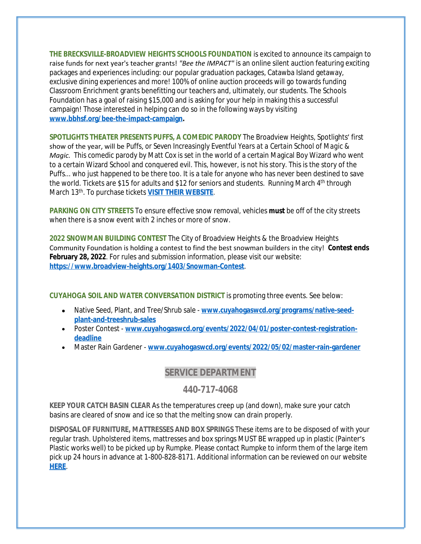**THE BRECKSVILLE-BROADVIEW HEIGHTS SCHOOLS FOUNDATION** is excited to announce its campaign to raise funds for next year's teacher grants! *"Bee the IMPACT"* is an online silent auction featuring exciting packages and experiences including: our popular graduation packages, Catawba Island getaway, exclusive dining experiences and more! 100% of online auction proceeds will go towards funding Classroom Enrichment grants benefitting our teachers and, ultimately, our students. The Schools Foundation has a goal of raising \$15,000 and is asking for your help in making this a successful campaign! Those interested in helping can do so in the following ways by visiting **[www.bbhsf.org/bee-the-impact-campaign.](http://www.bbhsf.org/bee-the-impact-campaign)**

**SPOTLIGHTS THEATER PRESENTS PUFFS, A COMEDIC PARODY** The Broadview Heights, Spotlights' first show of the year, will be *Puffs*, *or Seven Increasingly Eventful Years at a Certain School of Magic & Magic.* This comedic parody by Matt Cox is set in the world of a certain Magical Boy Wizard who went to a certain Wizard School and conquered evil. This, however, is not his story. This is the story of the Puffs... who just happened to be there too. It is a tale for anyone who has never been destined to save the world. Tickets are \$15 for adults and \$12 for seniors and students. Running March 4<sup>th</sup> through March 13th. To purchase tickets **[VISIT THEIR WEBSITE](http://www.broadview-heights-spotlights.org/theater/)**[.](http://www.broadview-heights-spotlights.org/theater/)

**[PARKING ON CITY STREETS](http://www.broadview-heights-spotlights.org/theater/)** [To ensure effective snow removal, vehicles](http://www.broadview-heights-spotlights.org/theater/) **[must](http://www.broadview-heights-spotlights.org/theater/)** [be off of the city streets](http://www.broadview-heights-spotlights.org/theater/)  [when there is a snow event with 2 inches or more of snow.](http://www.broadview-heights-spotlights.org/theater/) 

**[2022 SNOWMAN BUILDING CONTEST](http://www.broadview-heights-spotlights.org/theater/)** [The City of Broadview Heights & the Broadview Heights](http://www.broadview-heights-spotlights.org/theater/)  [Community Foundation is holding a contest to find the best snowman builders in the city!](http://www.broadview-heights-spotlights.org/theater/) **[Contest ends](http://www.broadview-heights-spotlights.org/theater/)  [February 28, 2022](http://www.broadview-heights-spotlights.org/theater/)**[. For rules and submission information, please visit our website:](http://www.broadview-heights-spotlights.org/theater/)  **<https://www.broadview-heights.org/1403/Snowman-Contest>**.

**CUYAHOGA SOIL AND WATER CONVERSATION DISTRICT** is promoting three events. See below:

- Native Seed, Plant, and Tree/Shrub sale [www.cuyahogaswcd.org/programs/native-seed](http://www.cuyahogaswcd.org/programs/native-seed-plant-and-treeshrub-sales)**plant-and-treeshrub-sales**
- Poster Contest **[www.cuyahogaswcd.org/events/2022/04/01/poster-contest-registration](http://www.cuyahogaswcd.org/events/2022/04/01/poster-contest-registration-deadline)deadline**
- Master Rain Gardener **[www.cuyahogaswcd.org/events/2022/05/02/master-rain-gardener](http://www.cuyahogaswcd.org/events/2022/05/02/master-rain-gardener)**

### **SERVICE DEPARTMENT**

#### **440-717-4068**

**KEEP YOUR CATCH BASIN CLEAR** As the temperatures creep up (and down), make sure your catch basins are cleared of snow and ice so that the melting snow can drain properly.

**DISPOSAL OF FURNITURE, MATTRESSES AND BOX SPRINGS** These items are to be disposed of with your regular trash. Upholstered items, mattresses and box springs MUST BE wrapped up in plastic (Painter's Plastic works well) to be picked up by Rumpke. Please contact Rumpke to inform them of the large item pick up 24 hours in advance at 1-800-828-8171. Additional information can be reviewed on our website **[HERE](https://www.broadview-heights.org/1027/Garbage-Recycling)**.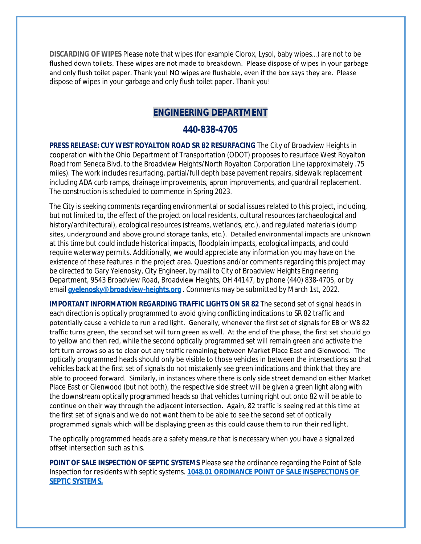**DISCARDING OF WIPES** Please note that wipes (for example Clorox, Lysol, baby wipes…) are not to be flushed down toilets. These wipes are not made to breakdown. Please dispose of wipes in your garbage and only flush toilet paper. Thank you! NO wipes are flushable, even if the box says they are. Please dispose of wipes in your garbage and only flush toilet paper. Thank you!

### **ENGINEERING DEPARTMENT**

#### **440-838-4705**

**PRESS RELEASE: CUY WEST ROYALTON ROAD SR 82 RESURFACING** The City of Broadview Heights in cooperation with the Ohio Department of Transportation (ODOT) proposes to resurface West Royalton Road from Seneca Blvd. to the Broadview Heights/North Royalton Corporation Line (approximately .75 miles). The work includes resurfacing, partial/full depth base pavement repairs, sidewalk replacement including ADA curb ramps, drainage improvements, apron improvements, and guardrail replacement. The construction is scheduled to commence in Spring 2023.

The City is seeking comments regarding environmental or social issues related to this project, including, but not limited to, the effect of the project on local residents, cultural resources (archaeological and history/architectural), ecological resources (streams, wetlands, etc.), and regulated materials (dump sites, underground and above ground storage tanks, etc.). Detailed environmental impacts are unknown at this time but could include historical impacts, floodplain impacts, ecological impacts, and could require waterway permits. Additionally, we would appreciate any information you may have on the existence of these features in the project area. Questions and/or comments regarding this project may be directed to Gary Yelenosky, City Engineer, by mail to City of Broadview Heights Engineering Department, 9543 Broadview Road, Broadview Heights, OH 44147, by phone (440) 838-4705, or by email **[gyelenosky@broadview-heights.org](mailto:gyelenosky@broadview-heights.org)** . Comments may be submitted by March 1st, 2022.

**IMPORTANT INFORMATION REGARDING TRAFFIC LIGHTS ON SR 82** The second set of signal heads in each direction is optically programmed to avoid giving conflicting indications to SR 82 traffic and potentially cause a vehicle to run a red light. Generally, whenever the first set of signals for EB or WB 82 traffic turns green, the second set will turn green as well. At the end of the phase, the first set should go to yellow and then red, while the second optically programmed set will remain green and activate the left turn arrows so as to clear out any traffic remaining between Market Place East and Glenwood. The optically programmed heads should only be visible to those vehicles in between the intersections so that vehicles back at the first set of signals do not mistakenly see green indications and think that they are able to proceed forward. Similarly, in instances where there is only side street demand on either Market Place East or Glenwood (but not both), the respective side street will be given a green light along with the downstream optically programmed heads so that vehicles turning right out onto 82 will be able to continue on their way through the adjacent intersection. Again, 82 traffic is seeing red at this time at the first set of signals and we do not want them to be able to see the second set of optically programmed signals which will be displaying green as this could cause them to run their red light.

The optically programmed heads are a safety measure that is necessary when you have a signalized offset intersection such as this.

**POINT OF SALE INSPECTION OF SEPTIC SYSTEMS** Please see the ordinance regarding the Point of Sale Inspection for residents with septic systems. **[1048.01 ORDINANCE POINT OF SALE INSEPECTIONS OF](https://codelibrary.amlegal.com/codes/broadviewhts/latest/broadview_oh/0-0-0-13398)  SEPTIC SYSTEMS.**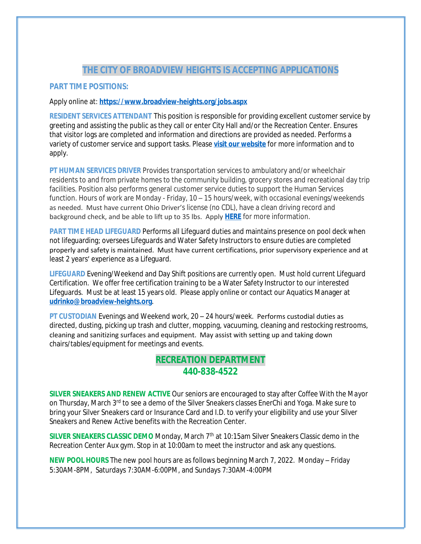## **THE CITY OF BROADVIEW HEIGHTS IS ACCEPTING APPLICATIONS**

#### **PART TIME POSITIONS:**

#### Apply online at: **<https://www.broadview-heights.org/jobs.aspx>**

**RESIDENT SERVICES ATTENDANT** This position is responsible for providing excellent customer service by greeting and assisting the public as they call or enter City Hall and/or the Recreation Center. Ensures that visitor logs are completed and information and directions are provided as needed. Performs a variety of customer service and support tasks. Please **[visit our website](https://www.broadview-heights.org/Jobs.aspx?UniqueId=98&From=98&CommunityJobs=False&JobID=Resident-Services-Attendant-135)** for more information and to apply.

**PT HUMAN SERVICES DRIVER** Provides transportation services to ambulatory and/or wheelchair residents to and from private homes to the community building, grocery stores and recreational day trip facilities. Position also performs general customer service duties to support the Human Services function. Hours of work are Monday - Friday, 10 – 15 hours/week, with occasional evenings/weekends as needed. Must have current Ohio Driver's license (no CDL), have a clean driving record and background check, and be able to lift up to 35 lbs. Apply **[HERE](https://broadview-heights.org/Jobs.aspx?UniqueId=98&From=All&CommunityJobs=False&JobID=PartTime-Driver-Human-Services-Departmen-134)** for more information.

**PART TIME HEAD LIFEGUARD** Performs all Lifeguard duties and maintains presence on pool deck when not lifeguarding; oversees Lifeguards and Water Safety Instructors to ensure duties are completed properly and safety is maintained. Must have current certifications, prior supervisory experience and at least 2 years' experience as a Lifeguard.

**LIFEGUARD** Evening/Weekend and Day Shift positions are currently open. Must hold current Lifeguard Certification. We offer free certification training to be a Water Safety Instructor to our interested Lifeguards. Must be at least 15 years old. Please apply online or contact our Aquatics Manager at **[udrinko@broadview-heights.org](mailto:udrinko@broadview-heights.org)**.

**PT CUSTODIAN** Evenings and Weekend work, 20 – 24 hours/week. Performs custodial duties as directed, dusting, picking up trash and clutter, mopping, vacuuming, cleaning and restocking restrooms, cleaning and sanitizing surfaces and equipment. May assist with setting up and taking down chairs/tables/equipment for meetings and events.

### **RECREATION DEPARTMENT 440-838-4522**

**SILVER SNEAKERS AND RENEW ACTIVE** Our seniors are encouraged to stay after *Coffee With the Mayor* on Thursday, March 3rd to see a demo of the Silver Sneakers classes EnerChi and Yoga. Make sure to bring your Silver Sneakers card or Insurance Card and I.D. to verify your eligibility and use your *Silver Sneakers and Renew Active* benefits with the Recreation Center.

**SILVER SNEAKERS CLASSIC DEMO** Monday, March 7<sup>th</sup> at 10:15am Silver Sneakers Classic demo in the Recreation Center Aux gym. Stop in at 10:00am to meet the instructor and ask any questions.

**NEW POOL HOURS** The new pool hours are as follows beginning March 7, 2022. Monday – Friday 5:30AM-8PM, Saturdays 7:30AM-6:00PM, and Sundays 7:30AM-4:00PM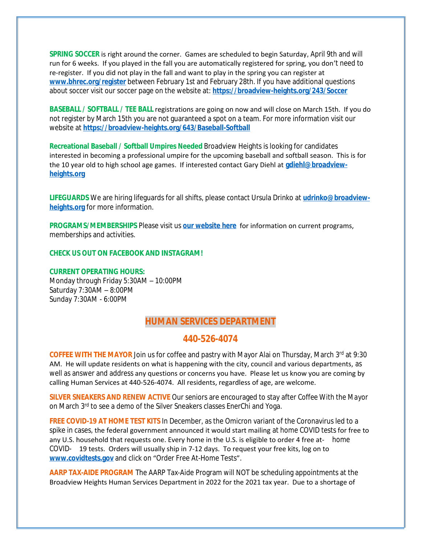**SPRING SOCCER** is right around the corner. Games are scheduled to begin Saturday, April 9th and will run for 6 weeks. If you played in the fall you are automatically registered for spring, you don't need to re-register. If you did not play in the fall and want to play in the spring you can register at **[www.bhrec.org/register](http://www.bhrec.org/register)** between February 1st and February 28th. If you have additional questions about soccer visit our soccer page on the website at: **<https://broadview-heights.org/243/Soccer>**

**BASEBALL / SOFTBALL / TEE BALL** registrations are going on now and will close on March 15th. If you do not register by March 15th you are not guaranteed a spot on a team. For more information visit our website at **<https://broadview-heights.org/643/Baseball-Softball>**

**Recreational Baseball / Softball Umpires Needed** Broadview Heights is looking for candidates interested in becoming a professional umpire for the upcoming baseball and softball season. This is for the 10 year old to high school age games. If interested contact Gary Diehl at **[gdiehl@broadview](mailto:gdiehl@broadview-heights.org)heights.org**

**LIFEGUARDS** We are hiring lifeguards for all shifts, please contact Ursula Drinko at **[udrinko@broadview](mailto:udrinko@broadview-heights.org)heights.org** for more information.

**PROGRAMS/MEMBERSHIPS** Please visit us **[our website here](https://www.broadview-heights.org/292/Parks-Recreation)** for information on current programs, memberships and activities.

**CHECK US OUT ON FACEBOOK AND INSTAGRAM!**

**CURRENT OPERATING HOURS:** Monday through Friday 5:30AM – 10:00PM Saturday 7:30AM – 8:00PM Sunday 7:30AM - 6:00PM

### **HUMAN SERVICES DEPARTMENT**

#### **440-526-4074**

**COFFEE WITH THE MAYOR** Join us for coffee and pastry with Mayor Alai on Thursday, March 3rd at 9:30 AM. He will update residents on what is happening with the city, council and various departments, as well as answer and address any questions or concerns you have. Please let us know you are coming by calling Human Services at 440-526-4074. All residents, regardless of age, are welcome.

**SILVER SNEAKERS AND RENEW ACTIVE** Our seniors are encouraged to stay after *Coffee With the Mayor* on March 3<sup>rd</sup> to see a demo of the Silver Sneakers classes EnerChi and Yoga.

**FREE COVID-19 AT HOME TEST KITS** In December, as the Omicron variant of the Coronavirus led to a spike in cases, the federal government announced it would start mailing at home COVID tests for free to any U.S. household that requests one. Every home in the U.S. is eligible to order 4 free at- home COVID- 19 tests. Orders will usually ship in 7-12 days. To request your free kits, log on to **[www.covidtests.gov](http://www.covidtests.gov)** and click on "Order Free At-Home Tests".

**AARP TAX-AIDE PROGRAM** The AARP Tax-Aide Program will NOT be scheduling appointments at the Broadview Heights Human Services Department in 2022 for the 2021 tax year. Due to a shortage of